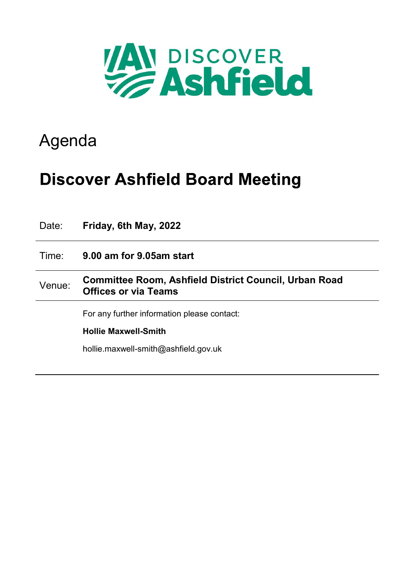

## Agenda

## **Discover Ashfield Board Meeting**

| Date:  | Friday, 6th May, 2022                                                                |  |  |
|--------|--------------------------------------------------------------------------------------|--|--|
| Time:  | 9.00 am for 9.05 am start                                                            |  |  |
| Venue: | Committee Room, Ashfield District Council, Urban Road<br><b>Offices or via Teams</b> |  |  |
|        | For any further information please contact:                                          |  |  |
|        | <b>Hollie Maxwell-Smith</b>                                                          |  |  |
|        | hollie.maxwell-smith@ashfield.gov.uk                                                 |  |  |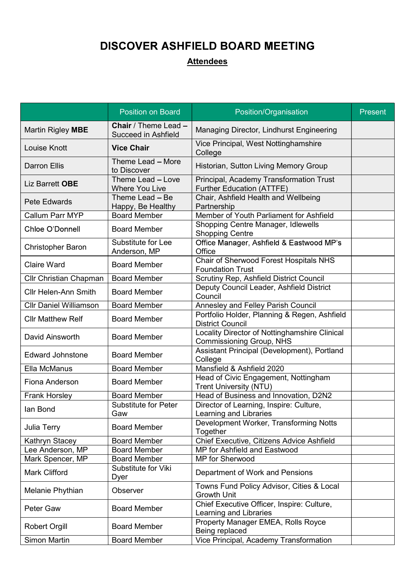## **DISCOVER ASHFIELD BOARD MEETING**

## **Attendees**

|                               | <b>Position on Board</b>                                  | Position/Organisation                                                            | Present |
|-------------------------------|-----------------------------------------------------------|----------------------------------------------------------------------------------|---------|
| Martin Rigley MBE             | <b>Chair</b> / Theme Lead -<br><b>Succeed in Ashfield</b> | Managing Director, Lindhurst Engineering                                         |         |
| <b>Louise Knott</b>           | <b>Vice Chair</b>                                         | Vice Principal, West Nottinghamshire<br>College                                  |         |
| <b>Darron Ellis</b>           | Theme Lead - More<br>to Discover                          | Historian, Sutton Living Memory Group                                            |         |
| Liz Barrett OBE               | Theme Lead - Love<br><b>Where You Live</b>                | Principal, Academy Transformation Trust<br><b>Further Education (ATTFE)</b>      |         |
| <b>Pete Edwards</b>           | Theme Lead - Be<br>Happy, Be Healthy                      | Chair, Ashfield Health and Wellbeing<br>Partnership                              |         |
| <b>Callum Parr MYP</b>        | <b>Board Member</b>                                       | Member of Youth Parliament for Ashfield                                          |         |
| Chloe O'Donnell               | <b>Board Member</b>                                       | Shopping Centre Manager, Idlewells<br><b>Shopping Centre</b>                     |         |
| <b>Christopher Baron</b>      | Substitute for Lee<br>Anderson, MP                        | Office Manager, Ashfield & Eastwood MP's<br>Office                               |         |
| <b>Claire Ward</b>            | <b>Board Member</b>                                       | Chair of Sherwood Forest Hospitals NHS<br><b>Foundation Trust</b>                |         |
| Cllr Christian Chapman        | <b>Board Member</b>                                       | Scrutiny Rep, Ashfield District Council                                          |         |
| <b>Cllr Helen-Ann Smith</b>   | <b>Board Member</b>                                       | Deputy Council Leader, Ashfield District<br>Council                              |         |
| <b>Cllr Daniel Williamson</b> | <b>Board Member</b>                                       | Annesley and Felley Parish Council                                               |         |
| <b>Cllr Matthew Relf</b>      | <b>Board Member</b>                                       | Portfolio Holder, Planning & Regen, Ashfield<br><b>District Council</b>          |         |
| David Ainsworth               | <b>Board Member</b>                                       | Locality Director of Nottinghamshire Clinical<br><b>Commissioning Group, NHS</b> |         |
| <b>Edward Johnstone</b>       | <b>Board Member</b>                                       | Assistant Principal (Development), Portland<br>College                           |         |
| Ella McManus                  | <b>Board Member</b>                                       | Mansfield & Ashfield 2020                                                        |         |
| Fiona Anderson                | <b>Board Member</b>                                       | Head of Civic Engagement, Nottingham<br><b>Trent University (NTU)</b>            |         |
| <b>Frank Horsley</b>          | <b>Board Member</b>                                       | Head of Business and Innovation, D2N2                                            |         |
| lan Bond                      | <b>Substitute for Peter</b><br>Gaw                        | Director of Learning, Inspire: Culture,<br>Learning and Libraries                |         |
| Julia Terry                   | <b>Board Member</b>                                       | Development Worker, Transforming Notts<br>Together                               |         |
| Kathryn Stacey                | <b>Board Member</b>                                       | Chief Executive, Citizens Advice Ashfield                                        |         |
| Lee Anderson, MP              | <b>Board Member</b>                                       | MP for Ashfield and Eastwood                                                     |         |
| Mark Spencer, MP              | <b>Board Member</b>                                       | MP for Sherwood                                                                  |         |
| <b>Mark Clifford</b>          | Substitute for Viki<br>Dyer                               | Department of Work and Pensions                                                  |         |
| Melanie Phythian              | <b>Observer</b>                                           | Towns Fund Policy Advisor, Cities & Local<br><b>Growth Unit</b>                  |         |
| Peter Gaw                     | <b>Board Member</b>                                       | Chief Executive Officer, Inspire: Culture,<br>Learning and Libraries             |         |
| <b>Robert Orgill</b>          | <b>Board Member</b>                                       | Property Manager EMEA, Rolls Royce<br>Being replaced                             |         |
| <b>Simon Martin</b>           | <b>Board Member</b>                                       | Vice Principal, Academy Transformation                                           |         |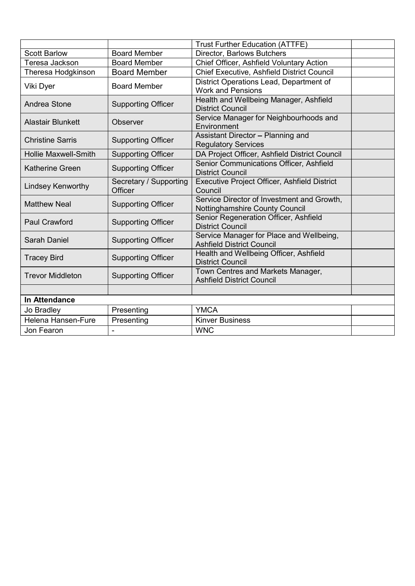|                             |                                   | <b>Trust Further Education (ATTFE)</b>                                       |  |  |  |  |
|-----------------------------|-----------------------------------|------------------------------------------------------------------------------|--|--|--|--|
| <b>Scott Barlow</b>         | <b>Board Member</b>               | Director, Barlows Butchers                                                   |  |  |  |  |
| Teresa Jackson              | <b>Board Member</b>               | Chief Officer, Ashfield Voluntary Action                                     |  |  |  |  |
| Theresa Hodgkinson          | <b>Board Member</b>               | Chief Executive, Ashfield District Council                                   |  |  |  |  |
| Viki Dyer                   | <b>Board Member</b>               | District Operations Lead, Department of<br><b>Work and Pensions</b>          |  |  |  |  |
| Andrea Stone                | <b>Supporting Officer</b>         | Health and Wellbeing Manager, Ashfield<br><b>District Council</b>            |  |  |  |  |
| <b>Alastair Blunkett</b>    | <b>Observer</b>                   | Service Manager for Neighbourhoods and<br>Environment                        |  |  |  |  |
| <b>Christine Sarris</b>     | <b>Supporting Officer</b>         | Assistant Director - Planning and<br><b>Regulatory Services</b>              |  |  |  |  |
| <b>Hollie Maxwell-Smith</b> | <b>Supporting Officer</b>         | DA Project Officer, Ashfield District Council                                |  |  |  |  |
| <b>Katherine Green</b>      | <b>Supporting Officer</b>         | Senior Communications Officer, Ashfield<br><b>District Council</b>           |  |  |  |  |
| <b>Lindsey Kenworthy</b>    | Secretary / Supporting<br>Officer | Executive Project Officer, Ashfield District<br>Council                      |  |  |  |  |
| <b>Matthew Neal</b>         | <b>Supporting Officer</b>         | Service Director of Investment and Growth,<br>Nottinghamshire County Council |  |  |  |  |
| <b>Paul Crawford</b>        | <b>Supporting Officer</b>         | Senior Regeneration Officer, Ashfield<br><b>District Council</b>             |  |  |  |  |
| <b>Sarah Daniel</b>         | <b>Supporting Officer</b>         | Service Manager for Place and Wellbeing,<br><b>Ashfield District Council</b> |  |  |  |  |
| <b>Tracey Bird</b>          | <b>Supporting Officer</b>         | Health and Wellbeing Officer, Ashfield<br><b>District Council</b>            |  |  |  |  |
| <b>Trevor Middleton</b>     | <b>Supporting Officer</b>         | Town Centres and Markets Manager,<br><b>Ashfield District Council</b>        |  |  |  |  |
|                             |                                   |                                                                              |  |  |  |  |
| In Attendance               |                                   |                                                                              |  |  |  |  |
| Jo Bradley                  | Presenting                        | <b>YMCA</b>                                                                  |  |  |  |  |
| Helena Hansen-Fure          | Presenting                        | <b>Kinver Business</b>                                                       |  |  |  |  |
| Jon Fearon                  |                                   | <b>WNC</b>                                                                   |  |  |  |  |